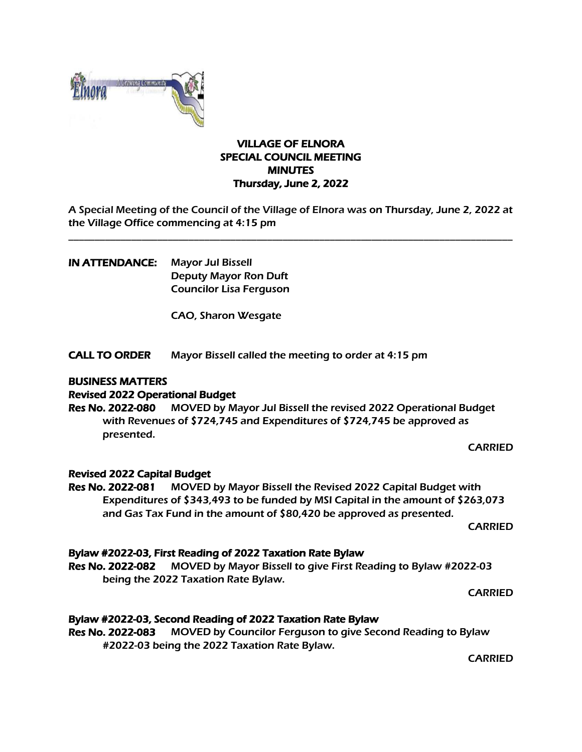

### VILLAGE OF ELNORA SPECIAL COUNCIL MEETING **MINUTES** Thursday, June 2, 2022

A Special Meeting of the Council of the Village of Elnora was on Thursday, June 2, 2022 at the Village Office commencing at 4:15 pm

\_\_\_\_\_\_\_\_\_\_\_\_\_\_\_\_\_\_\_\_\_\_\_\_\_\_\_\_\_\_\_\_\_\_\_\_\_\_\_\_\_\_\_\_\_\_\_\_\_\_\_\_\_\_\_\_\_\_\_\_\_\_\_\_\_\_\_\_\_\_\_\_\_\_\_\_\_\_\_\_\_\_\_\_\_

IN ATTENDANCE: Mayor Jul Bissell Deputy Mayor Ron Duft Councilor Lisa Ferguson

CAO, Sharon Wesgate

CALL TO ORDER Mayor Bissell called the meeting to order at 4:15 pm

#### BUSINESS MATTERS

### Revised 2022 Operational Budget

Res No. 2022-080 MOVED by Mayor Jul Bissell the revised 2022 Operational Budget with Revenues of \$724,745 and Expenditures of \$724,745 be approved as presented.

CARRIED

#### Revised 2022 Capital Budget

Res No. 2022-081 MOVED by Mayor Bissell the Revised 2022 Capital Budget with Expenditures of \$343,493 to be funded by MSI Capital in the amount of \$263,073 and Gas Tax Fund in the amount of \$80,420 be approved as presented.

CARRIED

#### Bylaw #2022-03, First Reading of 2022 Taxation Rate Bylaw

Res No. 2022-082 MOVED by Mayor Bissell to give First Reading to Bylaw #2022-03 being the 2022 Taxation Rate Bylaw.

CARRIED

## Bylaw #2022-03, Second Reading of 2022 Taxation Rate Bylaw

Res No. 2022-083 MOVED by Councilor Ferguson to give Second Reading to Bylaw #2022-03 being the 2022 Taxation Rate Bylaw.

CARRIED